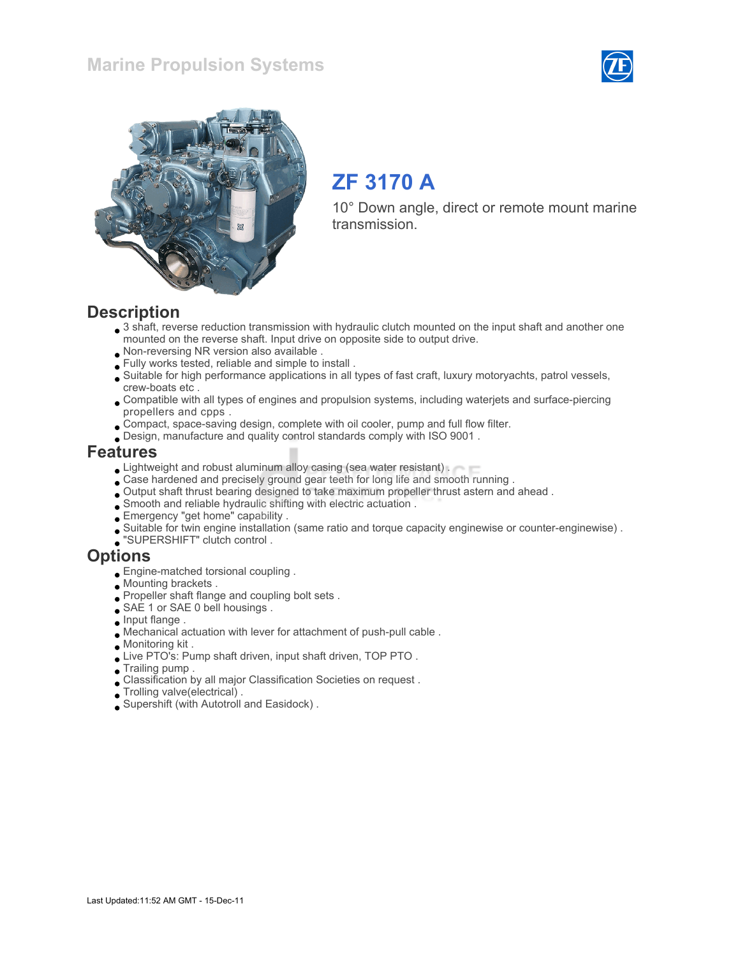



# ZF 3170 A

10° Down angle, direct or remote mount marine transmission.

#### **Description**

- 3 shaft, reverse reduction transmission with hydraulic clutch mounted on the input shaft and another one mounted on the reverse shaft. Input drive on opposite side to output drive.
- Non-reversing NR version also available .
- Fully works tested, reliable and simple to install .
- Suitable for high performance applications in all types of fast craft, luxury motoryachts, patrol vessels, crew-boats etc .
- Compatible with all types of engines and propulsion systems, including waterjets and surface-piercing propellers and cpps .
- Compact, space-saving design, complete with oil cooler, pump and full flow filter.
- Design, manufacture and quality control standards comply with ISO 9001 .

#### Features

- **Lightweight and robust aluminum alloy casing (sea water resistant).**
- Case hardened and precisely ground gear teeth for long life and smooth running .
- Output shaft thrust bearing designed to take maximum propeller thrust astern and ahead .
- Smooth and reliable hydraulic shifting with electric actuation .
- Emergency "get home" capability .
- Suitable for twin engine installation (same ratio and torque capacity enginewise or counter-enginewise) .
- "SUPERSHIFT" clutch control .

#### **Options**

- Engine-matched torsional coupling .
- Mounting brackets .
- Propeller shaft flange and coupling bolt sets .
- SAE 1 or SAE 0 bell housings.
- $\Box$  Input flange .
- Mechanical actuation with lever for attachment of push-pull cable .
- Monitoring kit .
- Live PTO's: Pump shaft driven, input shaft driven, TOP PTO .
- Trailing pump .
- Classification by all major Classification Societies on request .
- Trolling valve(electrical) .
- Supershift (with Autotroll and Easidock) .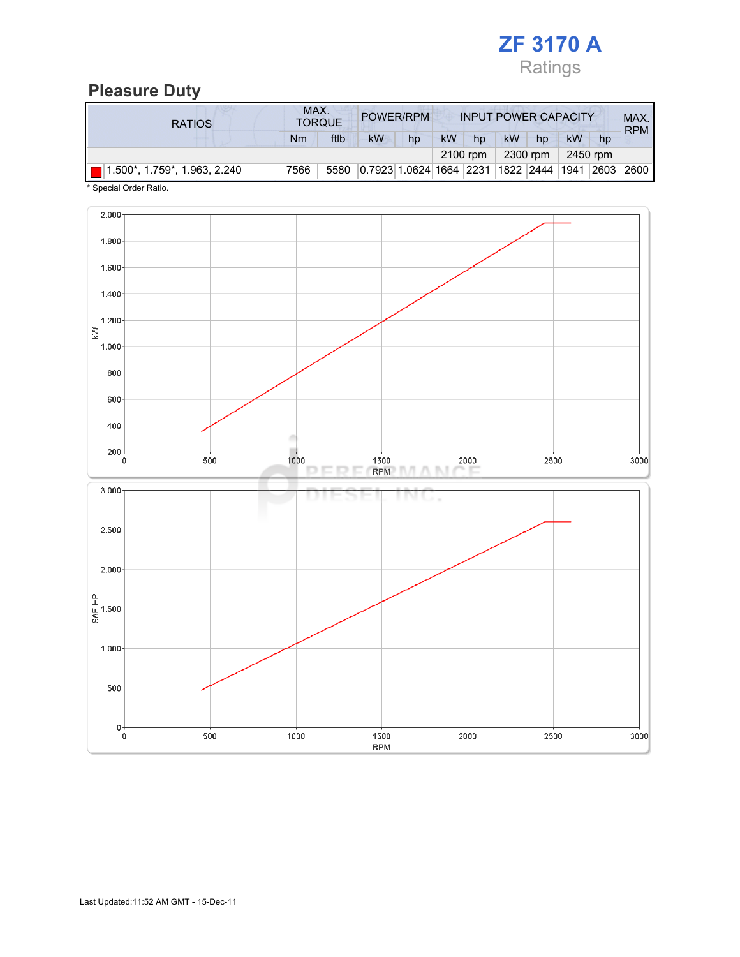

## Pleasure Duty

| <b>RATIOS</b>                 | MAX.<br>POWER/RPM<br><b>TORQUE</b> |      |                                             |    | <b>INPUT POWER CAPACITY</b> |          |    |          |          | MAX.<br><b>RPM</b> |        |
|-------------------------------|------------------------------------|------|---------------------------------------------|----|-----------------------------|----------|----|----------|----------|--------------------|--------|
|                               | Nm                                 | ftlb | <b>kW</b>                                   | hp | kW                          | hp       | kW | hp       | kW       | hp                 |        |
|                               |                                    |      |                                             |    |                             | 2100 rpm |    | 2300 rpm | 2450 rpm |                    |        |
| (1.500*, 1.759*, 1.963, 2.240 | 7566                               | 5580 | 0.7923 1.0624 1664 2231 1822 2444 1941 2603 |    |                             |          |    |          |          |                    | 2600 l |

\* Special Order Ratio.

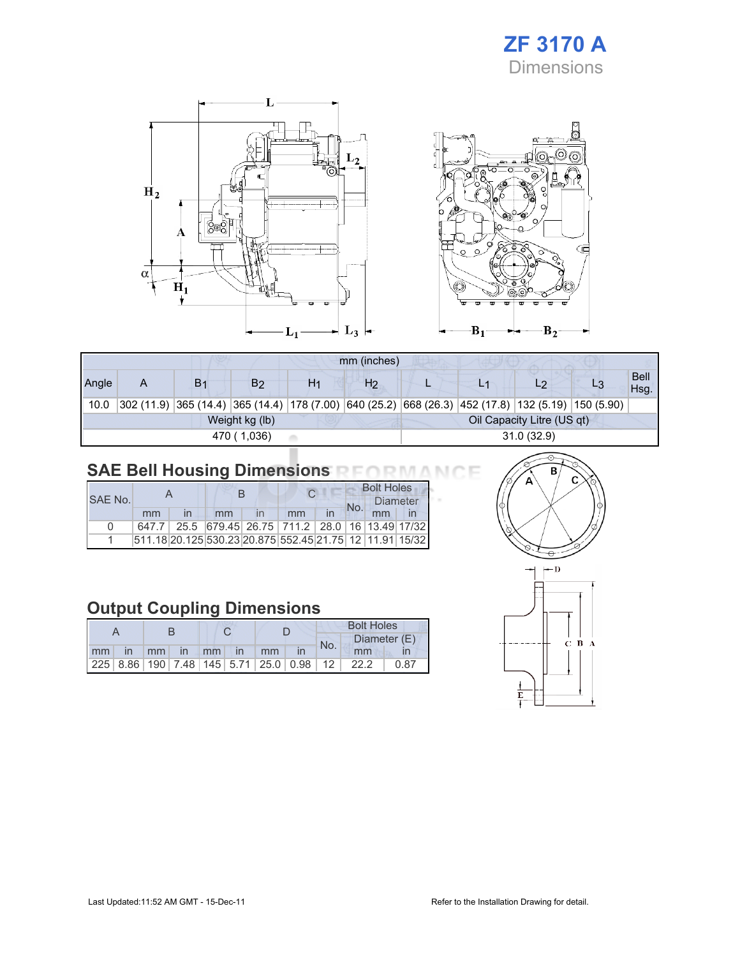## ZF 3170 A Dimensions



|       | mm (inches) |                |                |    |                |            |  |                                                                                                    |  |                     |  |
|-------|-------------|----------------|----------------|----|----------------|------------|--|----------------------------------------------------------------------------------------------------|--|---------------------|--|
| Angle | A           | B <sub>1</sub> | B2             | H1 | H <sub>2</sub> |            |  | L2                                                                                                 |  | <b>Bell</b><br>Hsg. |  |
| 10.0  |             |                |                |    |                |            |  | 302 (11.9) 365 (14.4) 365 (14.4) 178 (7.00) 640 (25.2) 668 (26.3) 452 (17.8) 132 (5.19) 150 (5.90) |  |                     |  |
|       |             |                | Weight kg (lb) |    |                |            |  | Oil Capacity Litre (US qt)                                                                         |  |                     |  |
|       |             |                | 470 (1,036)    |    |                | 31.0(32.9) |  |                                                                                                    |  |                     |  |

## SAE Bell Housing Dimensions RFORMANCE

|              |    |  |    |  |                                                         |    | <b>Bolt Holes</b> |    |                 |  |
|--------------|----|--|----|--|---------------------------------------------------------|----|-------------------|----|-----------------|--|
| SAF No.      |    |  |    |  |                                                         |    | No.               |    | <b>Diameter</b> |  |
|              | mm |  | mm |  | mm                                                      | in |                   | mm |                 |  |
| <sup>n</sup> |    |  |    |  | 647.7 25.5 679.45 26.75 711.2 28.0 16 13.49 17/32       |    |                   |    |                 |  |
|              |    |  |    |  | 511.18 20.125 530.23 20.875 552.45 21.75 12 11.91 15/32 |    |                   |    |                 |  |

## Output Coupling Dimensions

|  |                   |  |  |  |    | <b>Bolt Holes</b> |     |                                                 |      |  |
|--|-------------------|--|--|--|----|-------------------|-----|-------------------------------------------------|------|--|
|  |                   |  |  |  |    |                   | No. | Diameter (E)                                    |      |  |
|  | mm in mm in mm in |  |  |  | mm |                   |     | mm                                              |      |  |
|  |                   |  |  |  |    |                   |     | $ 225 8.86 190 7.48 145 5.71 25.0 0.98 12 22.2$ | 0.87 |  |